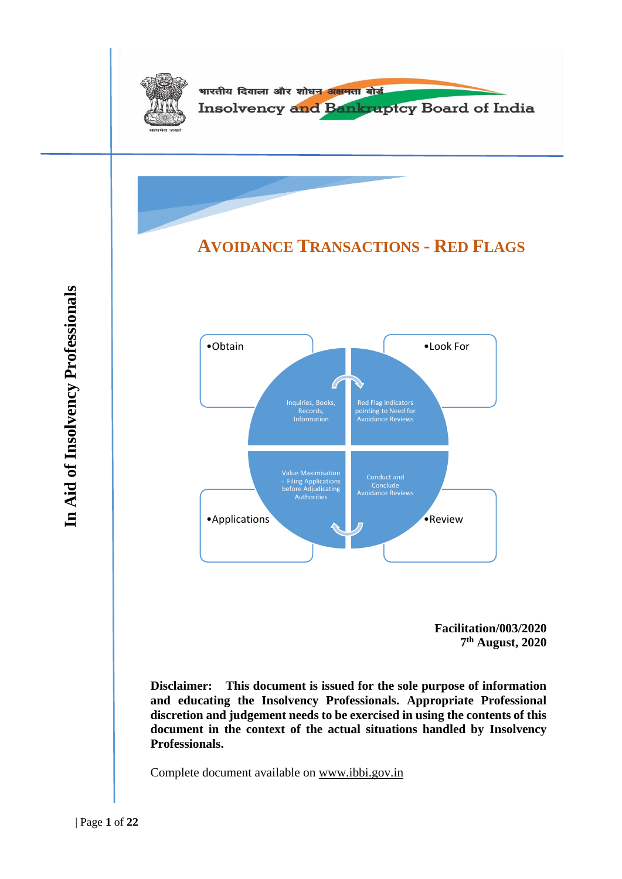

**7 th August, 2020**

**Disclaimer: This document is issued for the sole purpose of information and educating the Insolvency Professionals. Appropriate Professional discretion and judgement needs to be exercised in using the contents of this document in the context of the actual situations handled by Insolvency Professionals.**

Complete document available on [www.ibbi.gov.in](http://www.ibbi.gov.in/)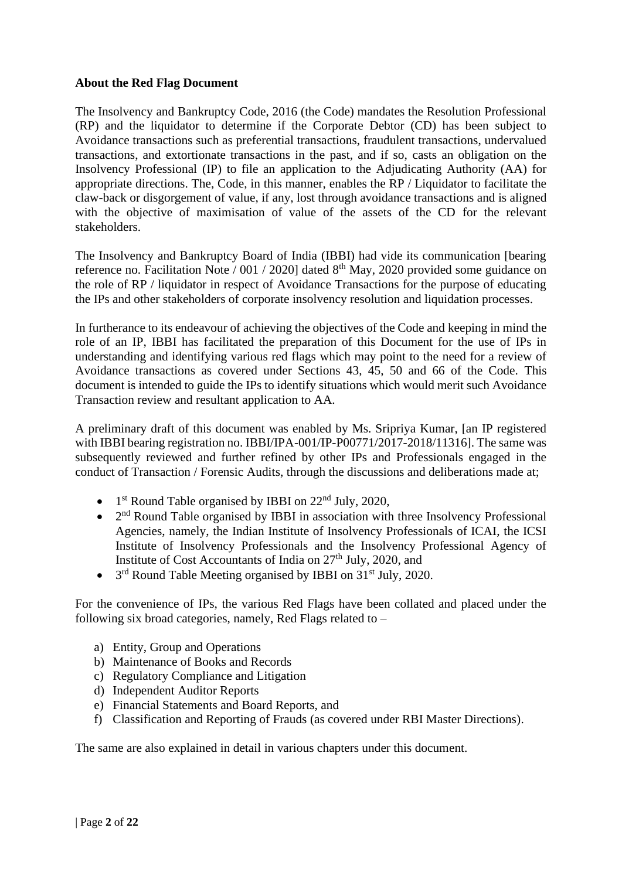#### **About the Red Flag Document**

The Insolvency and Bankruptcy Code, 2016 (the Code) mandates the Resolution Professional (RP) and the liquidator to determine if the Corporate Debtor (CD) has been subject to Avoidance transactions such as preferential transactions, fraudulent transactions, undervalued transactions, and extortionate transactions in the past, and if so, casts an obligation on the Insolvency Professional (IP) to file an application to the Adjudicating Authority (AA) for appropriate directions. The, Code, in this manner, enables the RP / Liquidator to facilitate the claw-back or disgorgement of value, if any, lost through avoidance transactions and is aligned with the objective of maximisation of value of the assets of the CD for the relevant stakeholders.

The Insolvency and Bankruptcy Board of India (IBBI) had vide its communication [bearing reference no. Facilitation Note / 001 / 2020] dated 8<sup>th</sup> May, 2020 provided some guidance on the role of RP / liquidator in respect of Avoidance Transactions for the purpose of educating the IPs and other stakeholders of corporate insolvency resolution and liquidation processes.

In furtherance to its endeavour of achieving the objectives of the Code and keeping in mind the role of an IP, IBBI has facilitated the preparation of this Document for the use of IPs in understanding and identifying various red flags which may point to the need for a review of Avoidance transactions as covered under Sections 43, 45, 50 and 66 of the Code. This document is intended to guide the IPs to identify situations which would merit such Avoidance Transaction review and resultant application to AA.

A preliminary draft of this document was enabled by Ms. Sripriya Kumar, [an IP registered with IBBI bearing registration no. IBBI/IPA-001/IP-P00771/2017-2018/11316]. The same was subsequently reviewed and further refined by other IPs and Professionals engaged in the conduct of Transaction / Forensic Audits, through the discussions and deliberations made at;

- 1<sup>st</sup> Round Table organised by IBBI on 22<sup>nd</sup> July, 2020,
- $\bullet$   $2<sup>nd</sup>$  Round Table organised by IBBI in association with three Insolvency Professional Agencies, namely, the Indian Institute of Insolvency Professionals of ICAI, the ICSI Institute of Insolvency Professionals and the Insolvency Professional Agency of Institute of Cost Accountants of India on 27<sup>th</sup> July, 2020, and
- 3<sup>rd</sup> Round Table Meeting organised by IBBI on 31<sup>st</sup> July, 2020.

For the convenience of IPs, the various Red Flags have been collated and placed under the following six broad categories, namely, Red Flags related to –

- a) Entity, Group and Operations
- b) Maintenance of Books and Records
- c) Regulatory Compliance and Litigation
- d) Independent Auditor Reports
- e) Financial Statements and Board Reports, and
- f) Classification and Reporting of Frauds (as covered under RBI Master Directions).

The same are also explained in detail in various chapters under this document.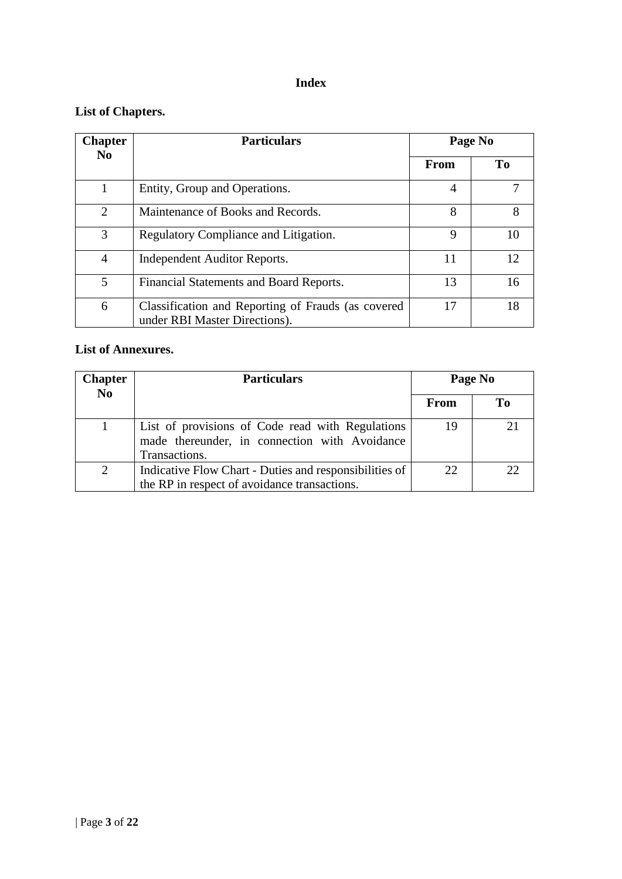# **Index**

# **List of Chapters.**

| <b>Chapter</b> | <b>Particulars</b>                                                                  | Page No        |     |
|----------------|-------------------------------------------------------------------------------------|----------------|-----|
| N <sub>0</sub> |                                                                                     | From           | To  |
|                | Entity, Group and Operations.                                                       | $\overline{4}$ |     |
| 2              | Maintenance of Books and Records.                                                   | 8              | 8   |
| 3              | Regulatory Compliance and Litigation.                                               | 9              | 10  |
| $\overline{4}$ | Independent Auditor Reports.                                                        | 11             | 12. |
| 5              | Financial Statements and Board Reports.                                             | 13             | 16  |
| 6              | Classification and Reporting of Frauds (as covered<br>under RBI Master Directions). | 17             | 18  |

# **List of Annexures.**

| Chapter<br>N <sub>0</sub> | <b>Particulars</b>                                                                                                 | Page No |    |
|---------------------------|--------------------------------------------------------------------------------------------------------------------|---------|----|
|                           |                                                                                                                    | From    | Tо |
|                           | List of provisions of Code read with Regulations<br>made thereunder, in connection with Avoidance<br>Transactions. | 19      |    |
| 2                         | Indicative Flow Chart - Duties and responsibilities of<br>the RP in respect of avoidance transactions.             | 22.     | つつ |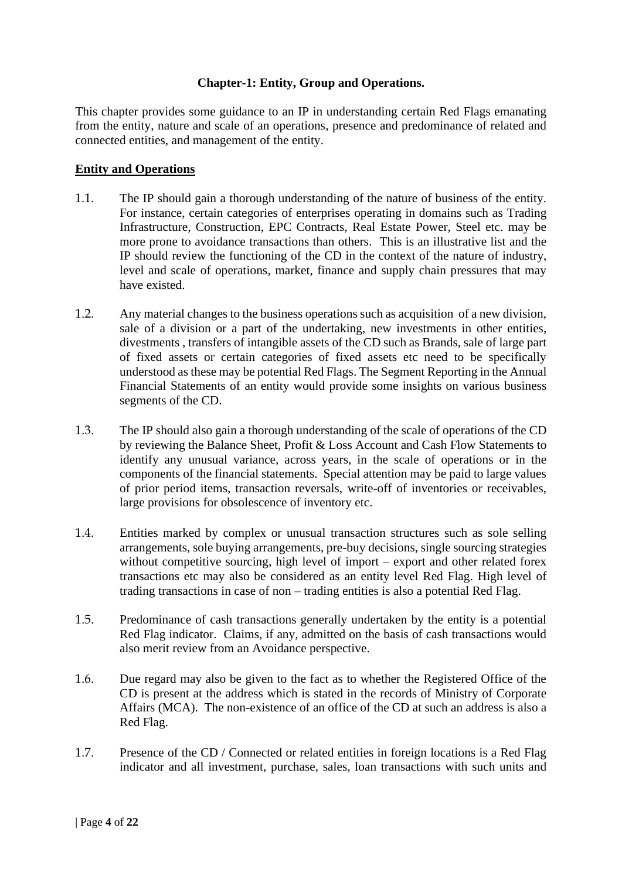## **Chapter-1: Entity, Group and Operations.**

This chapter provides some guidance to an IP in understanding certain Red Flags emanating from the entity, nature and scale of an operations, presence and predominance of related and connected entities, and management of the entity.

#### **Entity and Operations**

- 1.1. The IP should gain a thorough understanding of the nature of business of the entity. For instance, certain categories of enterprises operating in domains such as Trading Infrastructure, Construction, EPC Contracts, Real Estate Power, Steel etc. may be more prone to avoidance transactions than others. This is an illustrative list and the IP should review the functioning of the CD in the context of the nature of industry, level and scale of operations, market, finance and supply chain pressures that may have existed.
- 1.2. Any material changes to the business operations such as acquisition of a new division, sale of a division or a part of the undertaking, new investments in other entities, divestments , transfers of intangible assets of the CD such as Brands, sale of large part of fixed assets or certain categories of fixed assets etc need to be specifically understood as these may be potential Red Flags. The Segment Reporting in the Annual Financial Statements of an entity would provide some insights on various business segments of the CD.
- 1.3. The IP should also gain a thorough understanding of the scale of operations of the CD by reviewing the Balance Sheet, Profit & Loss Account and Cash Flow Statements to identify any unusual variance, across years, in the scale of operations or in the components of the financial statements. Special attention may be paid to large values of prior period items, transaction reversals, write-off of inventories or receivables, large provisions for obsolescence of inventory etc.
- 1.4. Entities marked by complex or unusual transaction structures such as sole selling arrangements, sole buying arrangements, pre-buy decisions, single sourcing strategies without competitive sourcing, high level of import – export and other related forex transactions etc may also be considered as an entity level Red Flag. High level of trading transactions in case of non – trading entities is also a potential Red Flag.
- 1.5. Predominance of cash transactions generally undertaken by the entity is a potential Red Flag indicator. Claims, if any, admitted on the basis of cash transactions would also merit review from an Avoidance perspective.
- 1.6. Due regard may also be given to the fact as to whether the Registered Office of the CD is present at the address which is stated in the records of Ministry of Corporate Affairs (MCA). The non-existence of an office of the CD at such an address is also a Red Flag.
- 1.7. Presence of the CD / Connected or related entities in foreign locations is a Red Flag indicator and all investment, purchase, sales, loan transactions with such units and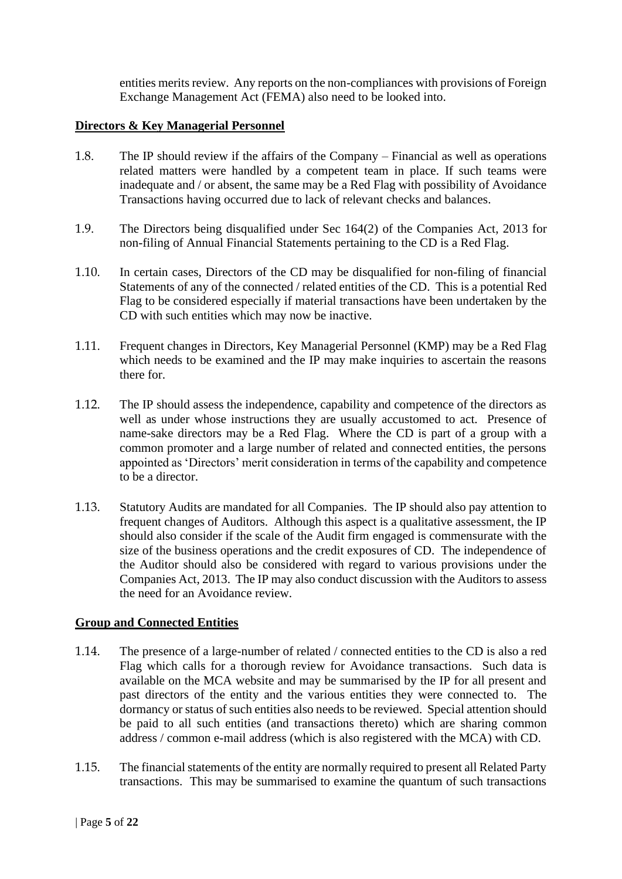entities merits review. Any reports on the non-compliances with provisions of Foreign Exchange Management Act (FEMA) also need to be looked into.

#### **Directors & Key Managerial Personnel**

- 1.8. The IP should review if the affairs of the Company Financial as well as operations related matters were handled by a competent team in place. If such teams were inadequate and / or absent, the same may be a Red Flag with possibility of Avoidance Transactions having occurred due to lack of relevant checks and balances.
- 1.9. The Directors being disqualified under Sec 164(2) of the Companies Act, 2013 for non-filing of Annual Financial Statements pertaining to the CD is a Red Flag.
- 1.10. In certain cases, Directors of the CD may be disqualified for non-filing of financial Statements of any of the connected / related entities of the CD. This is a potential Red Flag to be considered especially if material transactions have been undertaken by the CD with such entities which may now be inactive.
- 1.11. Frequent changes in Directors, Key Managerial Personnel (KMP) may be a Red Flag which needs to be examined and the IP may make inquiries to ascertain the reasons there for.
- 1.12. The IP should assess the independence, capability and competence of the directors as well as under whose instructions they are usually accustomed to act. Presence of name-sake directors may be a Red Flag. Where the CD is part of a group with a common promoter and a large number of related and connected entities, the persons appointed as 'Directors' merit consideration in terms of the capability and competence to be a director.
- 1.13. Statutory Audits are mandated for all Companies. The IP should also pay attention to frequent changes of Auditors. Although this aspect is a qualitative assessment, the IP should also consider if the scale of the Audit firm engaged is commensurate with the size of the business operations and the credit exposures of CD. The independence of the Auditor should also be considered with regard to various provisions under the Companies Act, 2013. The IP may also conduct discussion with the Auditors to assess the need for an Avoidance review.

## **Group and Connected Entities**

- 1.14. The presence of a large-number of related / connected entities to the CD is also a red Flag which calls for a thorough review for Avoidance transactions. Such data is available on the MCA website and may be summarised by the IP for all present and past directors of the entity and the various entities they were connected to. The dormancy or status of such entities also needs to be reviewed. Special attention should be paid to all such entities (and transactions thereto) which are sharing common address / common e-mail address (which is also registered with the MCA) with CD.
- 1.15. The financial statements of the entity are normally required to present all Related Party transactions. This may be summarised to examine the quantum of such transactions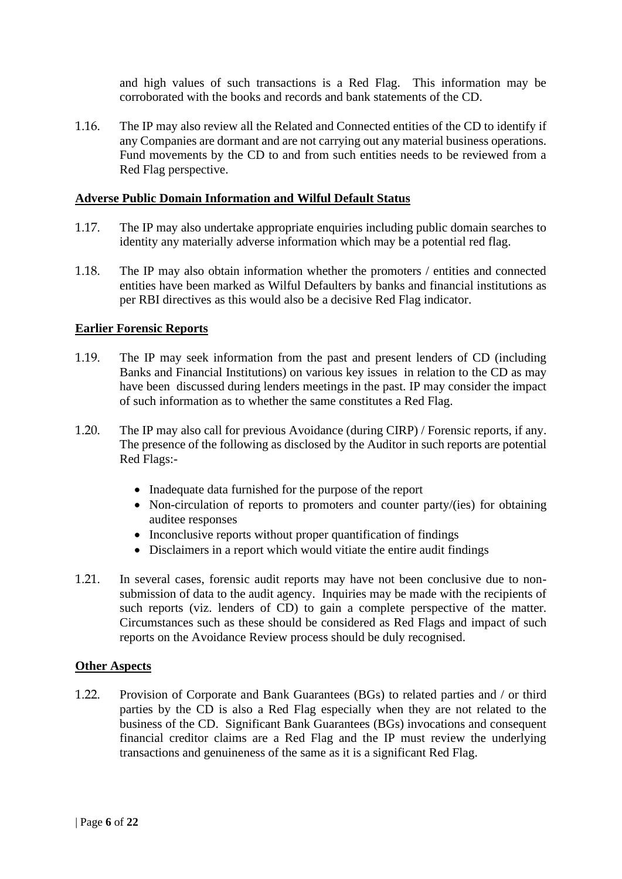and high values of such transactions is a Red Flag. This information may be corroborated with the books and records and bank statements of the CD.

1.16. The IP may also review all the Related and Connected entities of the CD to identify if any Companies are dormant and are not carrying out any material business operations. Fund movements by the CD to and from such entities needs to be reviewed from a Red Flag perspective.

#### **Adverse Public Domain Information and Wilful Default Status**

- 1.17. The IP may also undertake appropriate enquiries including public domain searches to identity any materially adverse information which may be a potential red flag.
- 1.18. The IP may also obtain information whether the promoters / entities and connected entities have been marked as Wilful Defaulters by banks and financial institutions as per RBI directives as this would also be a decisive Red Flag indicator.

#### **Earlier Forensic Reports**

- 1.19. The IP may seek information from the past and present lenders of CD (including Banks and Financial Institutions) on various key issues in relation to the CD as may have been discussed during lenders meetings in the past. IP may consider the impact of such information as to whether the same constitutes a Red Flag.
- 1.20. The IP may also call for previous Avoidance (during CIRP) / Forensic reports, if any. The presence of the following as disclosed by the Auditor in such reports are potential Red Flags:-
	- Inadequate data furnished for the purpose of the report
	- Non-circulation of reports to promoters and counter party/(ies) for obtaining auditee responses
	- Inconclusive reports without proper quantification of findings
	- Disclaimers in a report which would vitiate the entire audit findings
- 1.21. In several cases, forensic audit reports may have not been conclusive due to nonsubmission of data to the audit agency. Inquiries may be made with the recipients of such reports (viz. lenders of CD) to gain a complete perspective of the matter. Circumstances such as these should be considered as Red Flags and impact of such reports on the Avoidance Review process should be duly recognised.

#### **Other Aspects**

1.22. Provision of Corporate and Bank Guarantees (BGs) to related parties and / or third parties by the CD is also a Red Flag especially when they are not related to the business of the CD. Significant Bank Guarantees (BGs) invocations and consequent financial creditor claims are a Red Flag and the IP must review the underlying transactions and genuineness of the same as it is a significant Red Flag.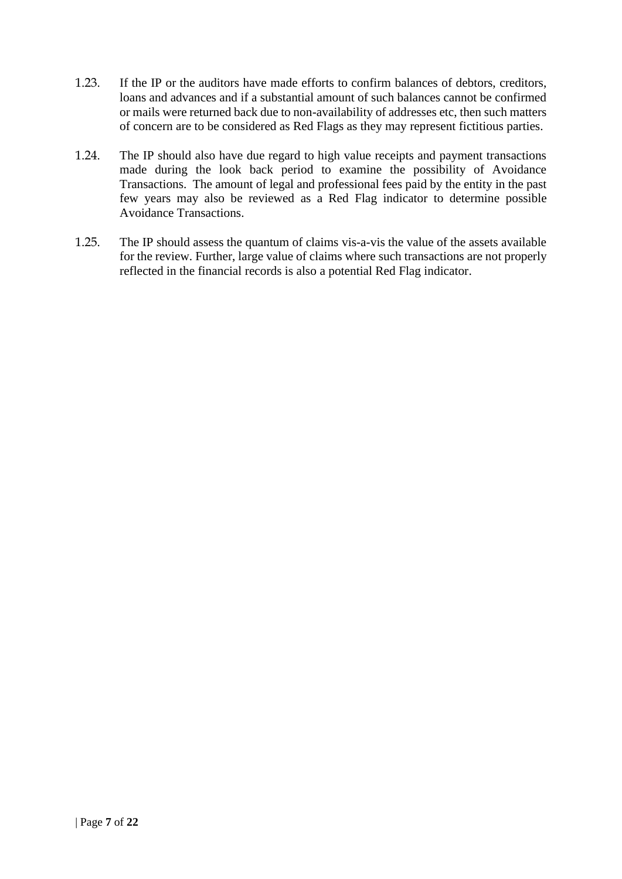- 1.23. If the IP or the auditors have made efforts to confirm balances of debtors, creditors, loans and advances and if a substantial amount of such balances cannot be confirmed or mails were returned back due to non-availability of addresses etc, then such matters of concern are to be considered as Red Flags as they may represent fictitious parties.
- 1.24. The IP should also have due regard to high value receipts and payment transactions made during the look back period to examine the possibility of Avoidance Transactions. The amount of legal and professional fees paid by the entity in the past few years may also be reviewed as a Red Flag indicator to determine possible Avoidance Transactions.
- 1.25. The IP should assess the quantum of claims vis-a-vis the value of the assets available for the review. Further, large value of claims where such transactions are not properly reflected in the financial records is also a potential Red Flag indicator.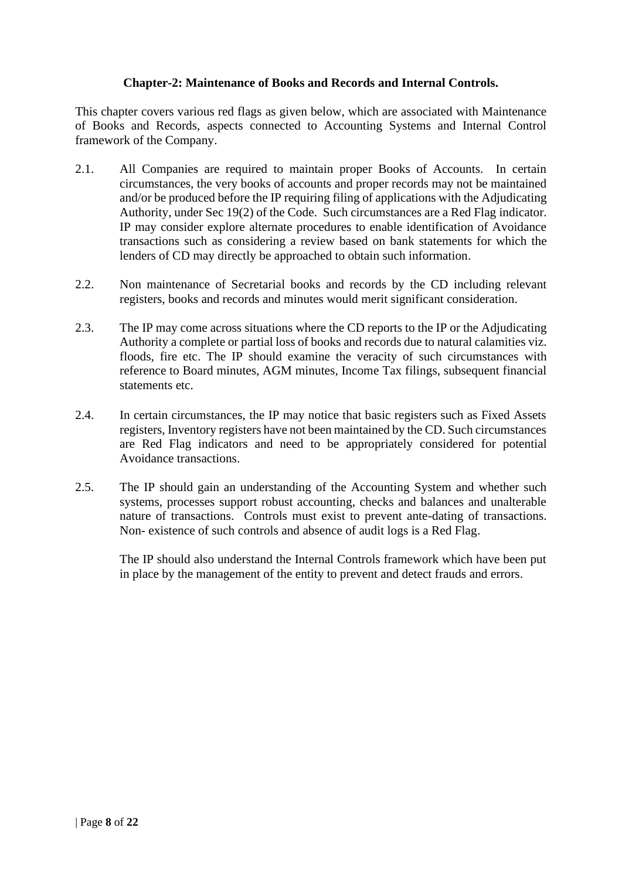## **Chapter-2: Maintenance of Books and Records and Internal Controls.**

This chapter covers various red flags as given below, which are associated with Maintenance of Books and Records, aspects connected to Accounting Systems and Internal Control framework of the Company.

- 2.1. All Companies are required to maintain proper Books of Accounts. In certain circumstances, the very books of accounts and proper records may not be maintained and/or be produced before the IP requiring filing of applications with the Adjudicating Authority, under Sec 19(2) of the Code. Such circumstances are a Red Flag indicator. IP may consider explore alternate procedures to enable identification of Avoidance transactions such as considering a review based on bank statements for which the lenders of CD may directly be approached to obtain such information.
- 2.2. Non maintenance of Secretarial books and records by the CD including relevant registers, books and records and minutes would merit significant consideration.
- 2.3. The IP may come across situations where the CD reports to the IP or the Adjudicating Authority a complete or partial loss of books and records due to natural calamities viz. floods, fire etc. The IP should examine the veracity of such circumstances with reference to Board minutes, AGM minutes, Income Tax filings, subsequent financial statements etc.
- 2.4. In certain circumstances, the IP may notice that basic registers such as Fixed Assets registers, Inventory registers have not been maintained by the CD. Such circumstances are Red Flag indicators and need to be appropriately considered for potential Avoidance transactions.
- 2.5. The IP should gain an understanding of the Accounting System and whether such systems, processes support robust accounting, checks and balances and unalterable nature of transactions. Controls must exist to prevent ante-dating of transactions. Non- existence of such controls and absence of audit logs is a Red Flag.

The IP should also understand the Internal Controls framework which have been put in place by the management of the entity to prevent and detect frauds and errors.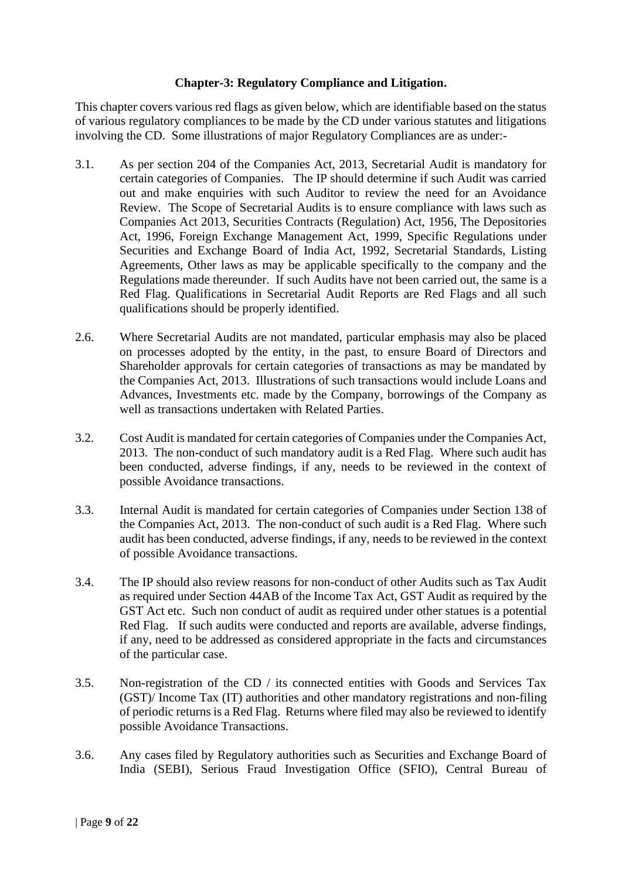#### **Chapter-3: Regulatory Compliance and Litigation.**

This chapter covers various red flags as given below, which are identifiable based on the status of various regulatory compliances to be made by the CD under various statutes and litigations involving the CD. Some illustrations of major Regulatory Compliances are as under:-

- 3.1. As per section 204 of the Companies Act, 2013, Secretarial Audit is mandatory for certain categories of Companies. The IP should determine if such Audit was carried out and make enquiries with such Auditor to review the need for an Avoidance Review. The Scope of Secretarial Audits is to ensure compliance with laws such as Companies Act 2013, Securities Contracts (Regulation) Act, 1956, The Depositories Act, 1996, Foreign Exchange Management Act, 1999, Specific Regulations under Securities and Exchange Board of India Act, 1992, Secretarial Standards, Listing Agreements, Other laws as may be applicable specifically to the company and the Regulations made thereunder. If such Audits have not been carried out, the same is a Red Flag. Qualifications in Secretarial Audit Reports are Red Flags and all such qualifications should be properly identified.
- 2.6. Where Secretarial Audits are not mandated, particular emphasis may also be placed on processes adopted by the entity, in the past, to ensure Board of Directors and Shareholder approvals for certain categories of transactions as may be mandated by the Companies Act, 2013. Illustrations of such transactions would include Loans and Advances, Investments etc. made by the Company, borrowings of the Company as well as transactions undertaken with Related Parties.
- 3.2. Cost Audit is mandated for certain categories of Companies under the Companies Act, 2013. The non-conduct of such mandatory audit is a Red Flag. Where such audit has been conducted, adverse findings, if any, needs to be reviewed in the context of possible Avoidance transactions.
- 3.3. Internal Audit is mandated for certain categories of Companies under Section 138 of the Companies Act, 2013. The non-conduct of such audit is a Red Flag. Where such audit has been conducted, adverse findings, if any, needs to be reviewed in the context of possible Avoidance transactions.
- 3.4. The IP should also review reasons for non-conduct of other Audits such as Tax Audit as required under Section 44AB of the Income Tax Act, GST Audit as required by the GST Act etc. Such non conduct of audit as required under other statues is a potential Red Flag. If such audits were conducted and reports are available, adverse findings, if any, need to be addressed as considered appropriate in the facts and circumstances of the particular case.
- 3.5. Non-registration of the CD / its connected entities with Goods and Services Tax (GST)/ Income Tax (IT) authorities and other mandatory registrations and non-filing of periodic returns is a Red Flag. Returns where filed may also be reviewed to identify possible Avoidance Transactions.
- 3.6. Any cases filed by Regulatory authorities such as Securities and Exchange Board of India (SEBI), Serious Fraud Investigation Office (SFIO), Central Bureau of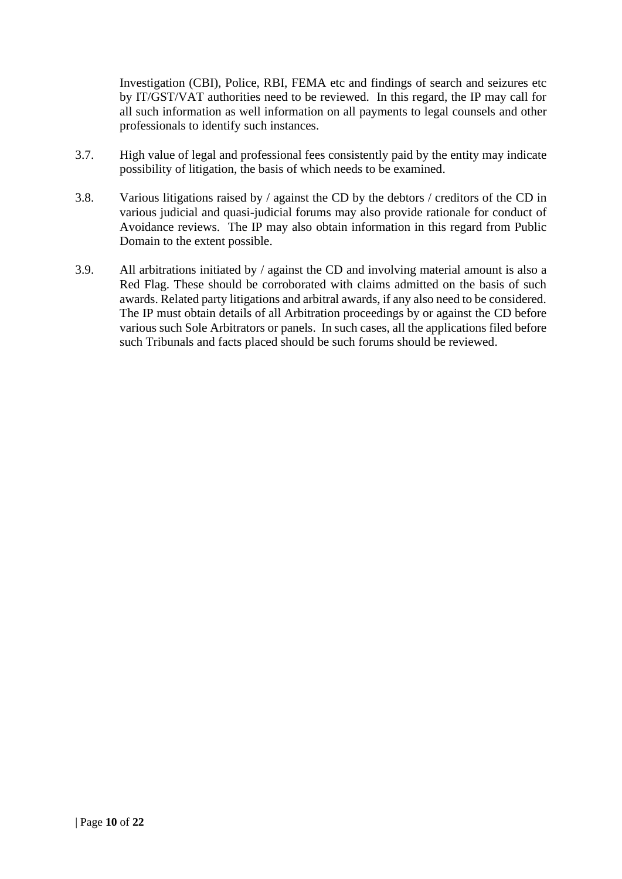Investigation (CBI), Police, RBI, FEMA etc and findings of search and seizures etc by IT/GST/VAT authorities need to be reviewed. In this regard, the IP may call for all such information as well information on all payments to legal counsels and other professionals to identify such instances.

- 3.7. High value of legal and professional fees consistently paid by the entity may indicate possibility of litigation, the basis of which needs to be examined.
- 3.8. Various litigations raised by / against the CD by the debtors / creditors of the CD in various judicial and quasi-judicial forums may also provide rationale for conduct of Avoidance reviews. The IP may also obtain information in this regard from Public Domain to the extent possible.
- 3.9. All arbitrations initiated by / against the CD and involving material amount is also a Red Flag. These should be corroborated with claims admitted on the basis of such awards. Related party litigations and arbitral awards, if any also need to be considered. The IP must obtain details of all Arbitration proceedings by or against the CD before various such Sole Arbitrators or panels. In such cases, all the applications filed before such Tribunals and facts placed should be such forums should be reviewed.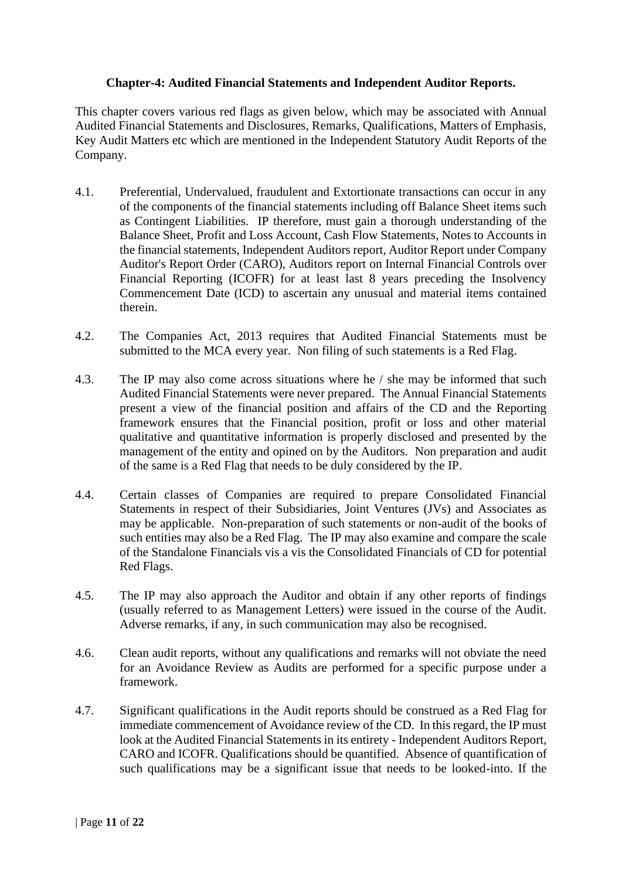#### **Chapter-4: Audited Financial Statements and Independent Auditor Reports.**

This chapter covers various red flags as given below, which may be associated with Annual Audited Financial Statements and Disclosures, Remarks, Qualifications, Matters of Emphasis, Key Audit Matters etc which are mentioned in the Independent Statutory Audit Reports of the Company.

- 4.1. Preferential, Undervalued, fraudulent and Extortionate transactions can occur in any of the components of the financial statements including off Balance Sheet items such as Contingent Liabilities. IP therefore, must gain a thorough understanding of the Balance Sheet, Profit and Loss Account, Cash Flow Statements, Notes to Accounts in the financial statements, Independent Auditors report, Auditor Report under Company Auditor's Report Order (CARO), Auditors report on Internal Financial Controls over Financial Reporting (ICOFR) for at least last 8 years preceding the Insolvency Commencement Date (ICD) to ascertain any unusual and material items contained therein.
- 4.2. The Companies Act, 2013 requires that Audited Financial Statements must be submitted to the MCA every year. Non filing of such statements is a Red Flag.
- 4.3. The IP may also come across situations where he / she may be informed that such Audited Financial Statements were never prepared. The Annual Financial Statements present a view of the financial position and affairs of the CD and the Reporting framework ensures that the Financial position, profit or loss and other material qualitative and quantitative information is properly disclosed and presented by the management of the entity and opined on by the Auditors. Non preparation and audit of the same is a Red Flag that needs to be duly considered by the IP.
- 4.4. Certain classes of Companies are required to prepare Consolidated Financial Statements in respect of their Subsidiaries, Joint Ventures (JVs) and Associates as may be applicable. Non-preparation of such statements or non-audit of the books of such entities may also be a Red Flag. The IP may also examine and compare the scale of the Standalone Financials vis a vis the Consolidated Financials of CD for potential Red Flags.
- 4.5. The IP may also approach the Auditor and obtain if any other reports of findings (usually referred to as Management Letters) were issued in the course of the Audit. Adverse remarks, if any, in such communication may also be recognised.
- 4.6. Clean audit reports, without any qualifications and remarks will not obviate the need for an Avoidance Review as Audits are performed for a specific purpose under a framework.
- 4.7. Significant qualifications in the Audit reports should be construed as a Red Flag for immediate commencement of Avoidance review of the CD. In this regard, the IP must look at the Audited Financial Statements in its entirety - Independent Auditors Report, CARO and ICOFR. Qualifications should be quantified. Absence of quantification of such qualifications may be a significant issue that needs to be looked-into. If the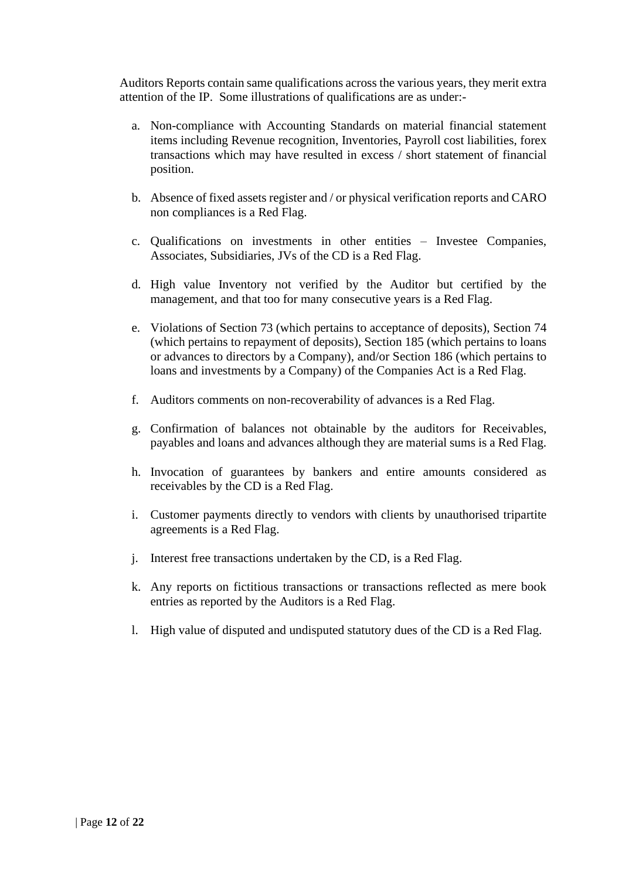Auditors Reports contain same qualifications across the various years, they merit extra attention of the IP. Some illustrations of qualifications are as under:-

- a. Non-compliance with Accounting Standards on material financial statement items including Revenue recognition, Inventories, Payroll cost liabilities, forex transactions which may have resulted in excess / short statement of financial position.
- b. Absence of fixed assets register and / or physical verification reports and CARO non compliances is a Red Flag.
- c. Qualifications on investments in other entities Investee Companies, Associates, Subsidiaries, JVs of the CD is a Red Flag.
- d. High value Inventory not verified by the Auditor but certified by the management, and that too for many consecutive years is a Red Flag.
- e. Violations of Section 73 (which pertains to acceptance of deposits), Section 74 (which pertains to repayment of deposits), Section 185 (which pertains to loans or advances to directors by a Company), and/or Section 186 (which pertains to loans and investments by a Company) of the Companies Act is a Red Flag.
- f. Auditors comments on non-recoverability of advances is a Red Flag.
- g. Confirmation of balances not obtainable by the auditors for Receivables, payables and loans and advances although they are material sums is a Red Flag.
- h. Invocation of guarantees by bankers and entire amounts considered as receivables by the CD is a Red Flag.
- i. Customer payments directly to vendors with clients by unauthorised tripartite agreements is a Red Flag.
- j. Interest free transactions undertaken by the CD, is a Red Flag.
- k. Any reports on fictitious transactions or transactions reflected as mere book entries as reported by the Auditors is a Red Flag.
- l. High value of disputed and undisputed statutory dues of the CD is a Red Flag.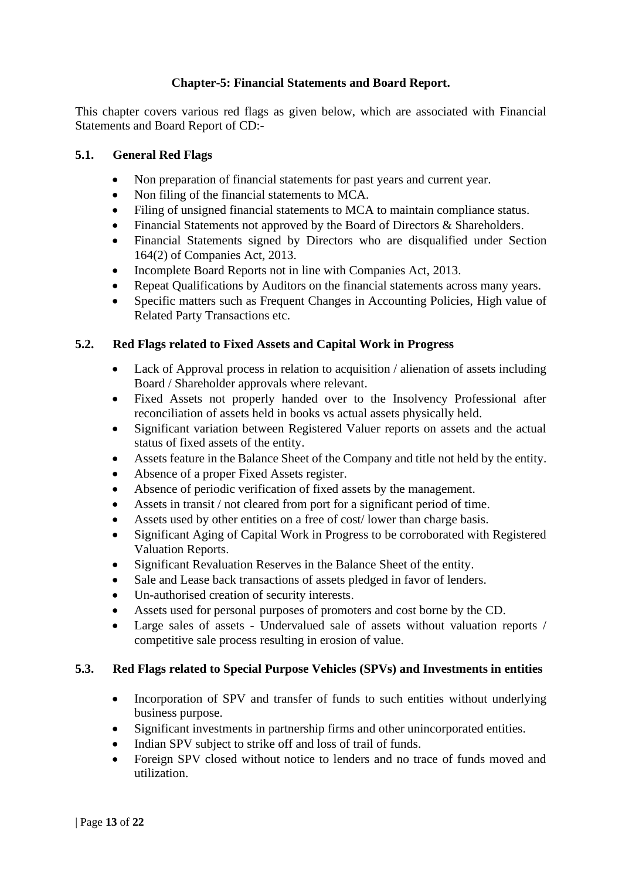# **Chapter-5: Financial Statements and Board Report.**

This chapter covers various red flags as given below, which are associated with Financial Statements and Board Report of CD:-

#### **5.1. General Red Flags**

- Non preparation of financial statements for past years and current year.
- Non filing of the financial statements to MCA.
- Filing of unsigned financial statements to MCA to maintain compliance status.
- Financial Statements not approved by the Board of Directors & Shareholders.
- Financial Statements signed by Directors who are disqualified under Section 164(2) of Companies Act, 2013.
- Incomplete Board Reports not in line with Companies Act, 2013.
- Repeat Qualifications by Auditors on the financial statements across many years.
- Specific matters such as Frequent Changes in Accounting Policies, High value of Related Party Transactions etc.

## **5.2. Red Flags related to Fixed Assets and Capital Work in Progress**

- Lack of Approval process in relation to acquisition / alienation of assets including Board / Shareholder approvals where relevant.
- Fixed Assets not properly handed over to the Insolvency Professional after reconciliation of assets held in books vs actual assets physically held.
- Significant variation between Registered Valuer reports on assets and the actual status of fixed assets of the entity.
- Assets feature in the Balance Sheet of the Company and title not held by the entity.
- Absence of a proper Fixed Assets register.
- Absence of periodic verification of fixed assets by the management.
- Assets in transit / not cleared from port for a significant period of time.
- Assets used by other entities on a free of cost/lower than charge basis.
- Significant Aging of Capital Work in Progress to be corroborated with Registered Valuation Reports.
- Significant Revaluation Reserves in the Balance Sheet of the entity.
- Sale and Lease back transactions of assets pledged in favor of lenders.
- Un-authorised creation of security interests.
- Assets used for personal purposes of promoters and cost borne by the CD.
- Large sales of assets Undervalued sale of assets without valuation reports / competitive sale process resulting in erosion of value.

## **5.3. Red Flags related to Special Purpose Vehicles (SPVs) and Investments in entities**

- Incorporation of SPV and transfer of funds to such entities without underlying business purpose.
- Significant investments in partnership firms and other unincorporated entities.
- Indian SPV subject to strike off and loss of trail of funds.
- Foreign SPV closed without notice to lenders and no trace of funds moved and utilization.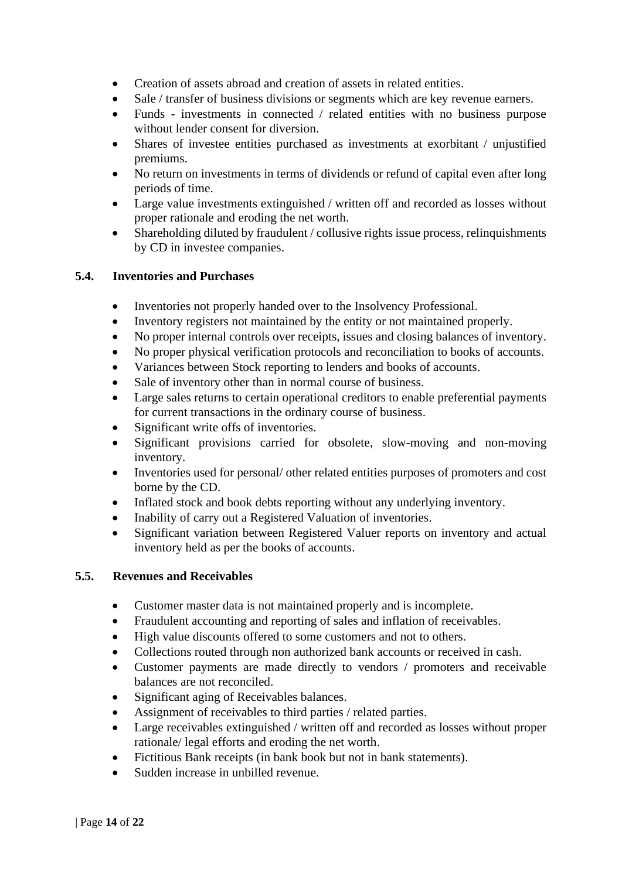- Creation of assets abroad and creation of assets in related entities.
- Sale / transfer of business divisions or segments which are key revenue earners.
- Funds investments in connected / related entities with no business purpose without lender consent for diversion.
- Shares of investee entities purchased as investments at exorbitant / unjustified premiums.
- No return on investments in terms of dividends or refund of capital even after long periods of time.
- Large value investments extinguished / written off and recorded as losses without proper rationale and eroding the net worth.
- Shareholding diluted by fraudulent / collusive rights issue process, relinquishments by CD in investee companies.

#### **5.4. Inventories and Purchases**

- Inventories not properly handed over to the Insolvency Professional.
- Inventory registers not maintained by the entity or not maintained properly.
- No proper internal controls over receipts, issues and closing balances of inventory.
- No proper physical verification protocols and reconciliation to books of accounts.
- Variances between Stock reporting to lenders and books of accounts.
- Sale of inventory other than in normal course of business.
- Large sales returns to certain operational creditors to enable preferential payments for current transactions in the ordinary course of business.
- Significant write offs of inventories.
- Significant provisions carried for obsolete, slow-moving and non-moving inventory.
- Inventories used for personal/ other related entities purposes of promoters and cost borne by the CD.
- Inflated stock and book debts reporting without any underlying inventory.
- Inability of carry out a Registered Valuation of inventories.
- Significant variation between Registered Valuer reports on inventory and actual inventory held as per the books of accounts.

#### **5.5. Revenues and Receivables**

- Customer master data is not maintained properly and is incomplete.
- Fraudulent accounting and reporting of sales and inflation of receivables.
- High value discounts offered to some customers and not to others.
- Collections routed through non authorized bank accounts or received in cash.
- Customer payments are made directly to vendors / promoters and receivable balances are not reconciled.
- Significant aging of Receivables balances.
- Assignment of receivables to third parties / related parties.
- Large receivables extinguished / written off and recorded as losses without proper rationale/ legal efforts and eroding the net worth.
- Fictitious Bank receipts (in bank book but not in bank statements).
- Sudden increase in unbilled revenue.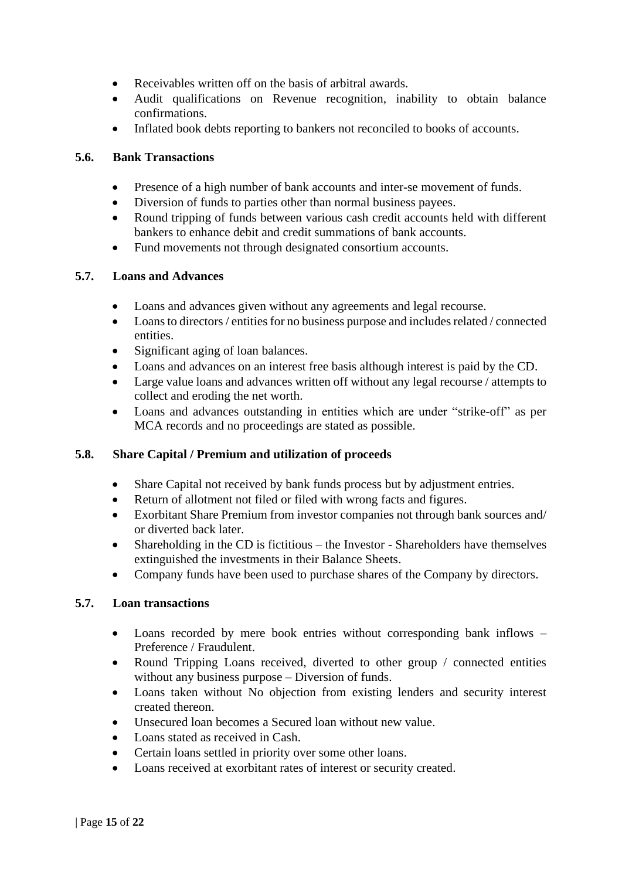- Receivables written off on the basis of arbitral awards.
- Audit qualifications on Revenue recognition, inability to obtain balance confirmations.
- Inflated book debts reporting to bankers not reconciled to books of accounts.

#### **5.6. Bank Transactions**

- Presence of a high number of bank accounts and inter-se movement of funds.
- Diversion of funds to parties other than normal business payees.
- Round tripping of funds between various cash credit accounts held with different bankers to enhance debit and credit summations of bank accounts.
- Fund movements not through designated consortium accounts.

#### **5.7. Loans and Advances**

- Loans and advances given without any agreements and legal recourse.
- Loans to directors / entities for no business purpose and includes related / connected entities.
- Significant aging of loan balances.
- Loans and advances on an interest free basis although interest is paid by the CD.
- Large value loans and advances written off without any legal recourse / attempts to collect and eroding the net worth.
- Loans and advances outstanding in entities which are under "strike-off" as per MCA records and no proceedings are stated as possible.

## **5.8. Share Capital / Premium and utilization of proceeds**

- Share Capital not received by bank funds process but by adjustment entries.
- Return of allotment not filed or filed with wrong facts and figures.
- Exorbitant Share Premium from investor companies not through bank sources and/ or diverted back later.
- Shareholding in the CD is fictitious the Investor Shareholders have themselves extinguished the investments in their Balance Sheets.
- Company funds have been used to purchase shares of the Company by directors.

#### **5.7. Loan transactions**

- Loans recorded by mere book entries without corresponding bank inflows Preference / Fraudulent.
- Round Tripping Loans received, diverted to other group / connected entities without any business purpose – Diversion of funds.
- Loans taken without No objection from existing lenders and security interest created thereon.
- Unsecured loan becomes a Secured loan without new value.
- Loans stated as received in Cash.
- Certain loans settled in priority over some other loans.
- Loans received at exorbitant rates of interest or security created.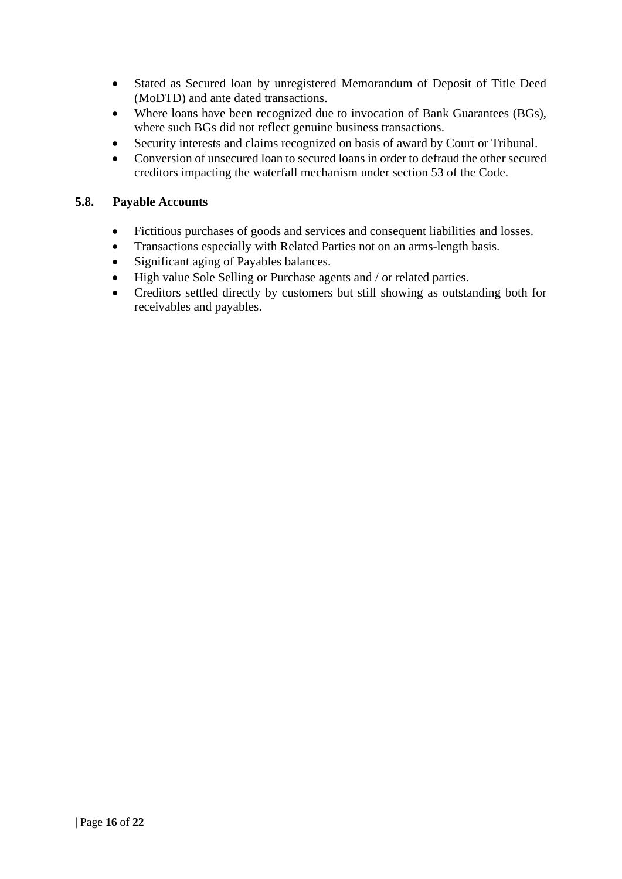- Stated as Secured loan by unregistered Memorandum of Deposit of Title Deed (MoDTD) and ante dated transactions.
- Where loans have been recognized due to invocation of Bank Guarantees (BGs), where such BGs did not reflect genuine business transactions.
- Security interests and claims recognized on basis of award by Court or Tribunal.
- Conversion of unsecured loan to secured loans in order to defraud the other secured creditors impacting the waterfall mechanism under section 53 of the Code.

#### **5.8. Payable Accounts**

- Fictitious purchases of goods and services and consequent liabilities and losses.
- Transactions especially with Related Parties not on an arms-length basis.
- Significant aging of Payables balances.
- High value Sole Selling or Purchase agents and / or related parties.
- Creditors settled directly by customers but still showing as outstanding both for receivables and payables.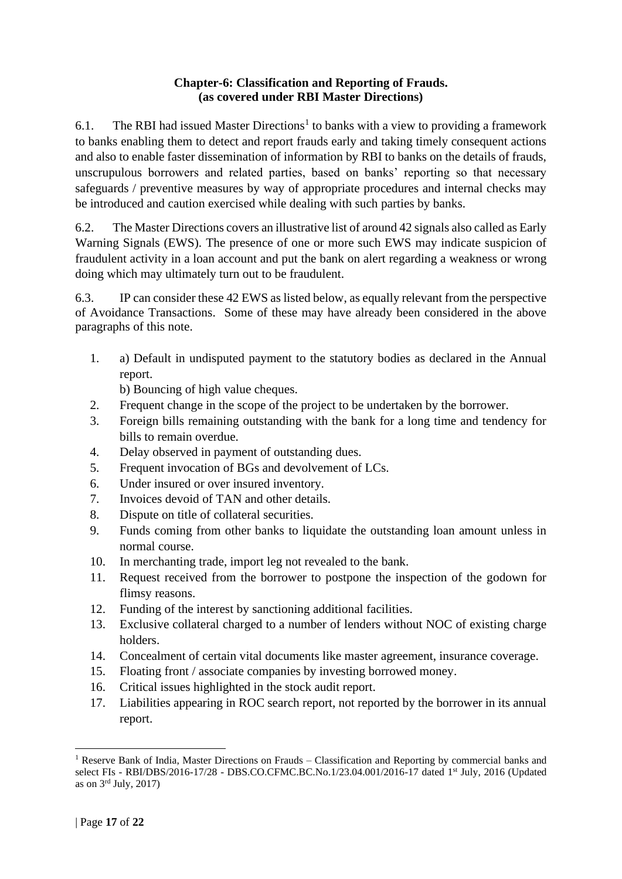#### **Chapter-6: Classification and Reporting of Frauds. (as covered under RBI Master Directions)**

6.1. The RBI had issued [Master Directions](https://www.rbi.org.in/Scripts/BS_ViewMasDirections.aspx?id=10477#MD)<sup>1</sup> to banks with a view to providing a framework to banks enabling them to detect and report frauds early and taking timely consequent actions and also to enable faster dissemination of information by RBI to banks on the details of frauds, unscrupulous borrowers and related parties, based on banks' reporting so that necessary safeguards / preventive measures by way of appropriate procedures and internal checks may be introduced and caution exercised while dealing with such parties by banks.

6.2. The Master Directions covers an illustrative list of around 42 signals also called as Early Warning Signals (EWS). The presence of one or more such EWS may indicate suspicion of fraudulent activity in a loan account and put the bank on alert regarding a weakness or wrong doing which may ultimately turn out to be fraudulent.

6.3. IP can consider these 42 EWS as listed below, as equally relevant from the perspective of Avoidance Transactions. Some of these may have already been considered in the above paragraphs of this note.

1. a) Default in undisputed payment to the statutory bodies as declared in the Annual report.

b) Bouncing of high value cheques.

- 2. Frequent change in the scope of the project to be undertaken by the borrower.
- 3. Foreign bills remaining outstanding with the bank for a long time and tendency for bills to remain overdue.
- 4. Delay observed in payment of outstanding dues.
- 5. Frequent invocation of BGs and devolvement of LCs.
- 6. Under insured or over insured inventory.
- 7. Invoices devoid of TAN and other details.
- 8. Dispute on title of collateral securities.
- 9. Funds coming from other banks to liquidate the outstanding loan amount unless in normal course.
- 10. In merchanting trade, import leg not revealed to the bank.
- 11. Request received from the borrower to postpone the inspection of the godown for flimsy reasons.
- 12. Funding of the interest by sanctioning additional facilities.
- 13. Exclusive collateral charged to a number of lenders without NOC of existing charge holders.
- 14. Concealment of certain vital documents like master agreement, insurance coverage.
- 15. Floating front / associate companies by investing borrowed money.
- 16. Critical issues highlighted in the stock audit report.
- 17. Liabilities appearing in ROC search report, not reported by the borrower in its annual report.

<sup>&</sup>lt;sup>1</sup> Reserve Bank of India, Master Directions on Frauds – Classification and Reporting by commercial banks and select FIs - RBI/DBS/2016-17/28 - DBS.CO.CFMC.BC.No.1/23.04.001/2016-17 dated 1st July, 2016 (Updated as on  $3<sup>rd</sup>$  July, 2017)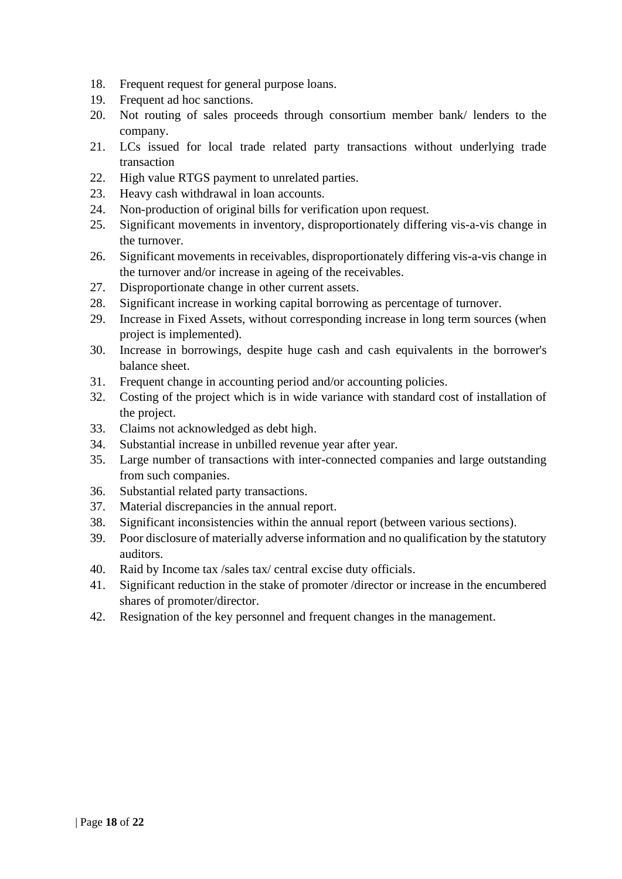- 18. Frequent request for general purpose loans.
- 19. Frequent ad hoc sanctions.
- 20. Not routing of sales proceeds through consortium member bank/ lenders to the company.
- 21. LCs issued for local trade related party transactions without underlying trade transaction
- 22. High value RTGS payment to unrelated parties.
- 23. Heavy cash withdrawal in loan accounts.
- 24. Non-production of original bills for verification upon request.
- 25. Significant movements in inventory, disproportionately differing vis-a-vis change in the turnover.
- 26. Significant movements in receivables, disproportionately differing vis-a-vis change in the turnover and/or increase in ageing of the receivables.
- 27. Disproportionate change in other current assets.
- 28. Significant increase in working capital borrowing as percentage of turnover.
- 29. Increase in Fixed Assets, without corresponding increase in long term sources (when project is implemented).
- 30. Increase in borrowings, despite huge cash and cash equivalents in the borrower's balance sheet.
- 31. Frequent change in accounting period and/or accounting policies.
- 32. Costing of the project which is in wide variance with standard cost of installation of the project.
- 33. Claims not acknowledged as debt high.
- 34. Substantial increase in unbilled revenue year after year.
- 35. Large number of transactions with inter-connected companies and large outstanding from such companies.
- 36. Substantial related party transactions.
- 37. Material discrepancies in the annual report.
- 38. Significant inconsistencies within the annual report (between various sections).
- 39. Poor disclosure of materially adverse information and no qualification by the statutory auditors.
- 40. Raid by Income tax /sales tax/ central excise duty officials.
- 41. Significant reduction in the stake of promoter /director or increase in the encumbered shares of promoter/director.
- 42. Resignation of the key personnel and frequent changes in the management.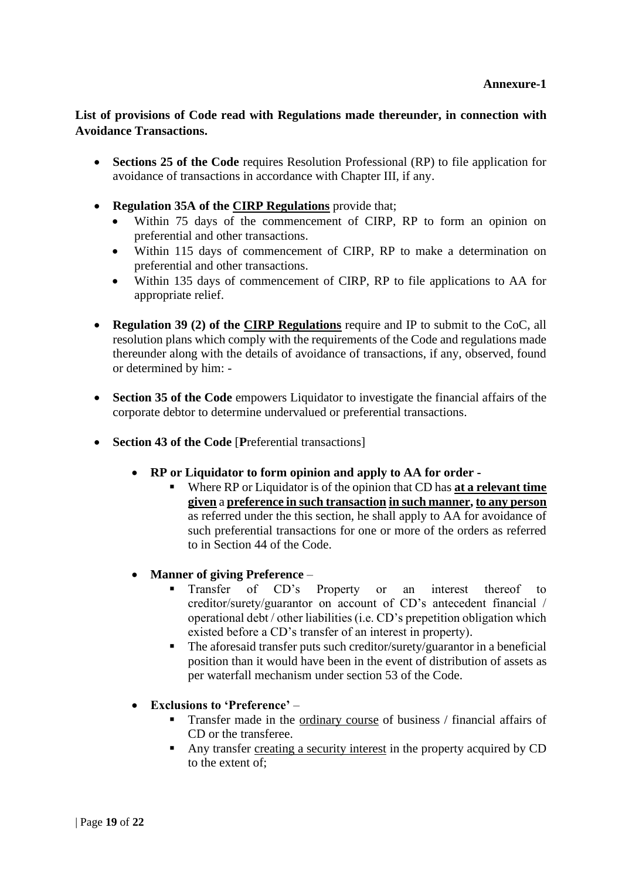# **List of provisions of Code read with Regulations made thereunder, in connection with Avoidance Transactions.**

- **Sections 25 of the Code** requires Resolution Professional (RP) to file application for avoidance of transactions in accordance with Chapter III, if any.
- **Regulation 35A of the CIRP Regulations** provide that;
	- Within 75 days of the commencement of CIRP, RP to form an opinion on preferential and other transactions.
	- Within 115 days of commencement of CIRP, RP to make a determination on preferential and other transactions.
	- Within 135 days of commencement of CIRP, RP to file applications to AA for appropriate relief.
- **Regulation 39 (2) of the CIRP Regulations** require and IP to submit to the CoC, all resolution plans which comply with the requirements of the Code and regulations made thereunder along with the details of avoidance of transactions, if any, observed, found or determined by him: -
- **Section 35 of the Code** empowers Liquidator to investigate the financial affairs of the corporate debtor to determine undervalued or preferential transactions.
- **Section 43 of the Code** [**P**referential transactions]
	- **RP or Liquidator to form opinion and apply to AA for order -**
		- Where RP or Liquidator is of the opinion that CD has **at a relevant time given** a **preference in such transaction in such manner, to any person** as referred under the this section, he shall apply to AA for avoidance of such preferential transactions for one or more of the orders as referred to in Section 44 of the Code.
	- **Manner of giving Preference**
		- **Exercise 1** Transfer of CD's Property or an interest thereof to creditor/surety/guarantor on account of CD's antecedent financial / operational debt / other liabilities (i.e. CD's prepetition obligation which existed before a CD's transfer of an interest in property).
		- The aforesaid transfer puts such creditor/surety/guarantor in a beneficial position than it would have been in the event of distribution of assets as per waterfall mechanism under section 53 of the Code.
	- **Exclusions to 'Preference'**
		- **Transfer made in the ordinary course of business / financial affairs of** CD or the transferee.
		- Any transfer creating a security interest in the property acquired by CD to the extent of;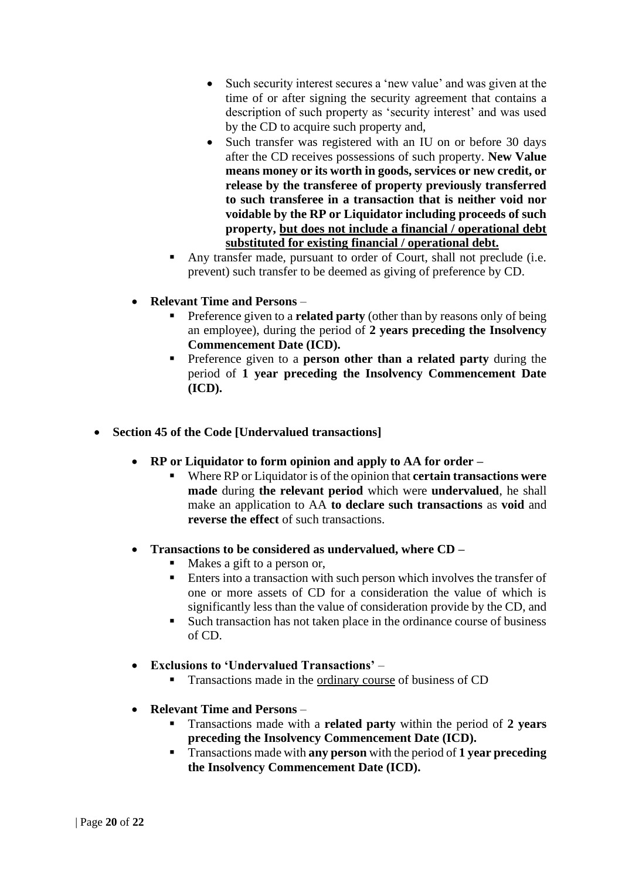- Such security interest secures a 'new value' and was given at the time of or after signing the security agreement that contains a description of such property as 'security interest' and was used by the CD to acquire such property and,
- Such transfer was registered with an IU on or before 30 days after the CD receives possessions of such property. **New Value means money or its worth in goods, services or new credit, or release by the transferee of property previously transferred to such transferee in a transaction that is neither void nor voidable by the RP or Liquidator including proceeds of such property, but does not include a financial / operational debt substituted for existing financial / operational debt.**
- Any transfer made, pursuant to order of Court, shall not preclude (i.e. prevent) such transfer to be deemed as giving of preference by CD.

# • **Relevant Time and Persons** –

- Preference given to a **related party** (other than by reasons only of being an employee), during the period of **2 years preceding the Insolvency Commencement Date (ICD).**
- Preference given to a **person other than a related party** during the period of **1 year preceding the Insolvency Commencement Date (ICD).**
- **Section 45 of the Code [Undervalued transactions]**
	- **RP or Liquidator to form opinion and apply to AA for order –**
		- Where RP or Liquidator is of the opinion that **certain transactions were made** during **the relevant period** which were **undervalued**, he shall make an application to AA **to declare such transactions** as **void** and **reverse the effect** of such transactions.
	- **Transactions to be considered as undervalued, where CD –**
		- Makes a gift to a person or,
		- Enters into a transaction with such person which involves the transfer of one or more assets of CD for a consideration the value of which is significantly less than the value of consideration provide by the CD, and
		- Such transaction has not taken place in the ordinance course of business of CD.
	- **Exclusions to 'Undervalued Transactions'**
		- **Transactions made in the ordinary course of business of CD**
	- **Relevant Time and Persons**
		- Transactions made with a **related party** within the period of **2 years preceding the Insolvency Commencement Date (ICD).**
		- Transactions made with **any person** with the period of **1 year preceding the Insolvency Commencement Date (ICD).**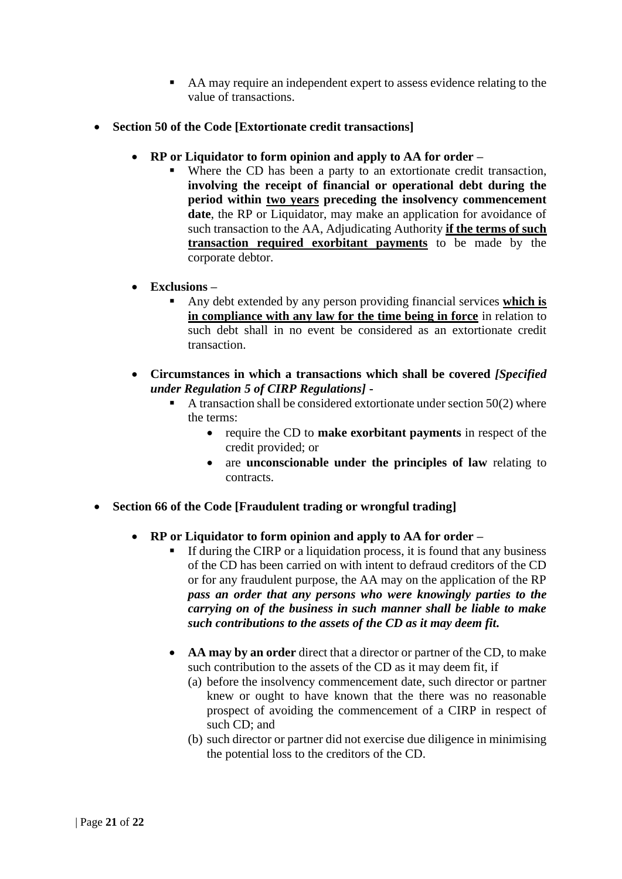- AA may require an independent expert to assess evidence relating to the value of transactions.
- **Section 50 of the Code [Extortionate credit transactions]**
	- **RP or Liquidator to form opinion and apply to AA for order –**
		- Where the CD has been a party to an extortionate credit transaction, **involving the receipt of financial or operational debt during the period within two years preceding the insolvency commencement**  date, the RP or Liquidator, may make an application for avoidance of such transaction to the AA, Adjudicating Authority **if the terms of such transaction required exorbitant payments** to be made by the corporate debtor.
	- **Exclusions –**
		- Any debt extended by any person providing financial services **which is in compliance with any law for the time being in force** in relation to such debt shall in no event be considered as an extortionate credit transaction.
	- **Circumstances in which a transactions which shall be covered** *[Specified under Regulation 5 of CIRP Regulations]* **-**
		- $\blacksquare$  A transaction shall be considered extortionate under section 50(2) where the terms:
			- require the CD to **make exorbitant payments** in respect of the credit provided; or
			- are **unconscionable under the principles of law** relating to contracts.
- **Section 66 of the Code [Fraudulent trading or wrongful trading]**
	- **RP or Liquidator to form opinion and apply to AA for order –**
		- If during the CIRP or a liquidation process, it is found that any business of the CD has been carried on with intent to defraud creditors of the CD or for any fraudulent purpose, the AA may on the application of the RP *pass an order that any persons who were knowingly parties to the carrying on of the business in such manner shall be liable to make such contributions to the assets of the CD as it may deem fit.*
		- **AA may by an order** direct that a director or partner of the CD, to make such contribution to the assets of the CD as it may deem fit, if
			- (a) before the insolvency commencement date, such director or partner knew or ought to have known that the there was no reasonable prospect of avoiding the commencement of a CIRP in respect of such CD; and
			- (b) such director or partner did not exercise due diligence in minimising the potential loss to the creditors of the CD.